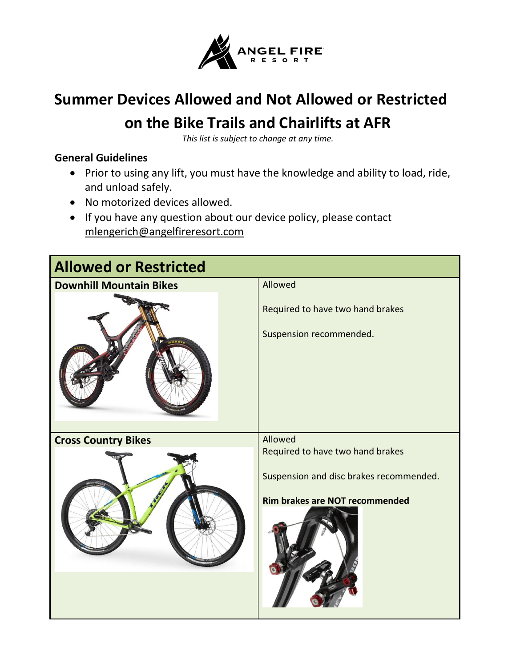

## **Summer Devices Allowed and Not Allowed or Restricted on the Bike Trails and Chairlifts at AFR**

*This list is subject to change at any time.*

## **General Guidelines**

- Prior to using any lift, you must have the knowledge and ability to load, ride, and unload safely.
- No motorized devices allowed.
- If you have any question about our device policy, please contact [mlengerich@angelfireresort.com](mailto:mlengerich@angelfireresort.com)

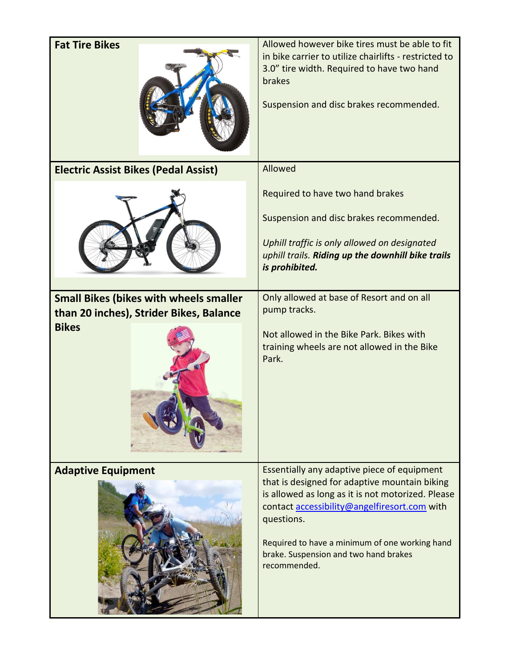| <b>Fat Tire Bikes</b>                                                                    | Allowed however bike tires must be able to fit<br>in bike carrier to utilize chairlifts - restricted to<br>3.0" tire width. Required to have two hand<br>brakes<br>Suspension and disc brakes recommended.                                                                                                                 |
|------------------------------------------------------------------------------------------|----------------------------------------------------------------------------------------------------------------------------------------------------------------------------------------------------------------------------------------------------------------------------------------------------------------------------|
| <b>Electric Assist Bikes (Pedal Assist)</b>                                              | Allowed                                                                                                                                                                                                                                                                                                                    |
|                                                                                          | Required to have two hand brakes<br>Suspension and disc brakes recommended.<br>Uphill traffic is only allowed on designated<br>uphill trails. Riding up the downhill bike trails<br>is prohibited.                                                                                                                         |
| <b>Small Bikes (bikes with wheels smaller</b><br>than 20 inches), Strider Bikes, Balance | Only allowed at base of Resort and on all<br>pump tracks.                                                                                                                                                                                                                                                                  |
| <b>Bikes</b>                                                                             | Not allowed in the Bike Park. Bikes with<br>training wheels are not allowed in the Bike<br>Park.                                                                                                                                                                                                                           |
| <b>Adaptive Equipment</b>                                                                | Essentially any adaptive piece of equipment<br>that is designed for adaptive mountain biking<br>is allowed as long as it is not motorized. Please<br>contact accessibility@angelfiresort.com with<br>questions.<br>Required to have a minimum of one working hand<br>brake. Suspension and two hand brakes<br>recommended. |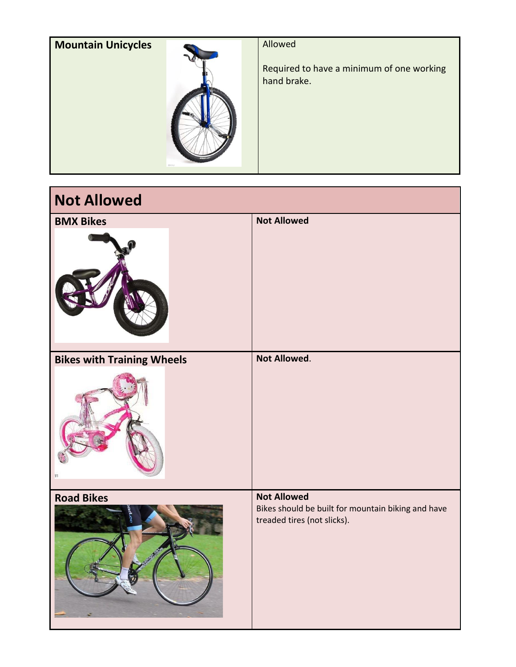| <b>Mountain Unicycles</b> | Allowed                                                  |
|---------------------------|----------------------------------------------------------|
| <b>CIGHLI</b>             | Required to have a minimum of one working<br>hand brake. |

| <b>Not Allowed</b>                |                                                                                                         |
|-----------------------------------|---------------------------------------------------------------------------------------------------------|
| <b>BMX Bikes</b>                  | <b>Not Allowed</b>                                                                                      |
| <b>Bikes with Training Wheels</b> | Not Allowed.                                                                                            |
| <b>Road Bikes</b>                 | <b>Not Allowed</b><br>Bikes should be built for mountain biking and have<br>treaded tires (not slicks). |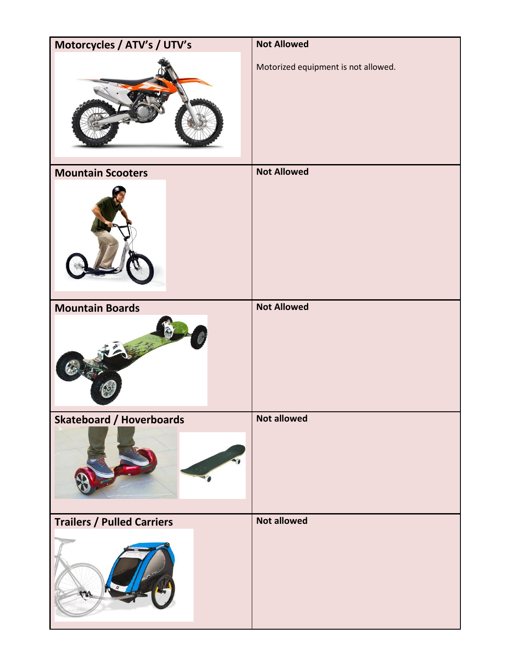| Motorcycles / ATV's / UTV's       | <b>Not Allowed</b>                  |
|-----------------------------------|-------------------------------------|
|                                   | Motorized equipment is not allowed. |
| <b>Mountain Scooters</b>          | <b>Not Allowed</b>                  |
|                                   |                                     |
| <b>Mountain Boards</b>            | <b>Not Allowed</b>                  |
|                                   |                                     |
| <b>Skateboard / Hoverboards</b>   | <b>Not allowed</b>                  |
|                                   |                                     |
| <b>Trailers / Pulled Carriers</b> | <b>Not allowed</b>                  |
| ٣                                 |                                     |